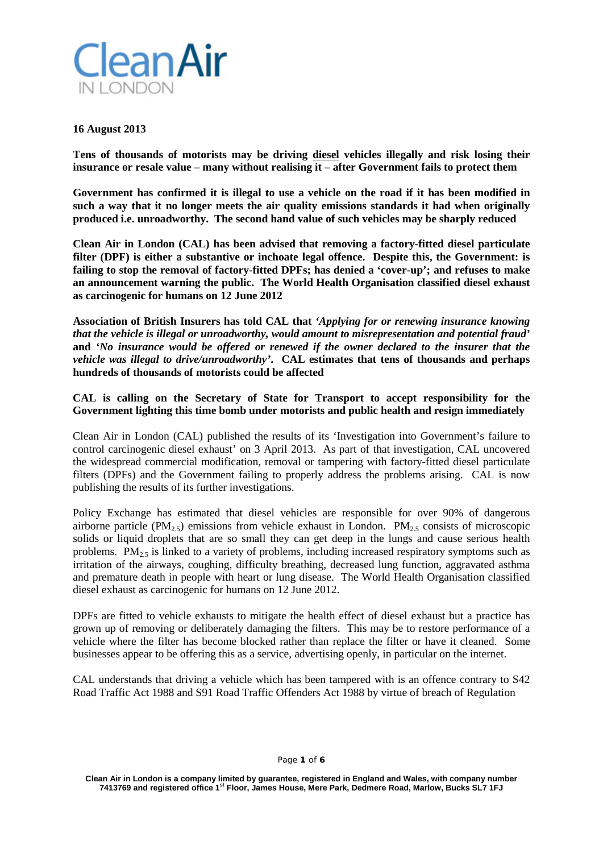

#### **16 August 2013**

**Tens of thousands of motorists may be driving diesel vehicles illegally and risk losing their insurance or resale value – many without realising it – after Government fails to protect them**

**Government has confirmed it is illegal to use a vehicle on the road if it has been modified in such a way that it no longer meets the air quality emissions standards it had when originally produced i.e. unroadworthy. The second hand value of such vehicles may be sharply reduced**

**Clean Air in London (CAL) has been advised that removing a factory-fitted diesel particulate filter (DPF) is either a substantive or inchoate legal offence. Despite this, the Government: is failing to stop the removal of factory-fitted DPFs; has denied a 'cover-up'; and refuses to make an announcement warning the public. The World Health Organisation classified diesel exhaust as carcinogenic for humans on 12 June 2012**

**Association of British Insurers has told CAL that** *'Applying for or renewing insurance knowing that the vehicle is illegal or unroadworthy, would amount to misrepresentation and potential fraud'* **and** *'No insurance would be offered or renewed if the owner declared to the insurer that the vehicle was illegal to drive/unroadworthy'***. CAL estimates that tens of thousands and perhaps hundreds of thousands of motorists could be affected**

## **CAL is calling on the Secretary of State for Transport to accept responsibility for the Government lighting this time bomb under motorists and public health and resign immediately**

Clean Air in London (CAL) published the results of its 'Investigation into Government's failure to control carcinogenic diesel exhaust' on 3 April 2013. As part of that investigation, CAL uncovered the widespread commercial modification, removal or tampering with factory-fitted diesel particulate filters (DPFs) and the Government failing to properly address the problems arising. CAL is now publishing the results of its further investigations.

Policy Exchange has estimated that diesel vehicles are responsible for over 90% of dangerous airborne particle (PM<sub>2.5</sub>) emissions from vehicle exhaust in London. PM<sub>2.5</sub> consists of microscopic solids or liquid droplets that are so small they can get deep in the lungs and cause serious health problems.  $PM_{2.5}$  is linked to a variety of problems, including increased respiratory symptoms such as irritation of the airways, coughing, difficulty breathing, decreased lung function, aggravated asthma and premature death in people with heart or lung disease. The World Health Organisation classified diesel exhaust as carcinogenic for humans on 12 June 2012.

DPFs are fitted to vehicle exhausts to mitigate the health effect of diesel exhaust but a practice has grown up of removing or deliberately damaging the filters. This may be to restore performance of a vehicle where the filter has become blocked rather than replace the filter or have it cleaned. Some businesses appear to be offering this as a service, advertising openly, in particular on the internet.

CAL understands that driving a vehicle which has been tampered with is an offence contrary to S42 Road Traffic Act 1988 and S91 Road Traffic Offenders Act 1988 by virtue of breach of Regulation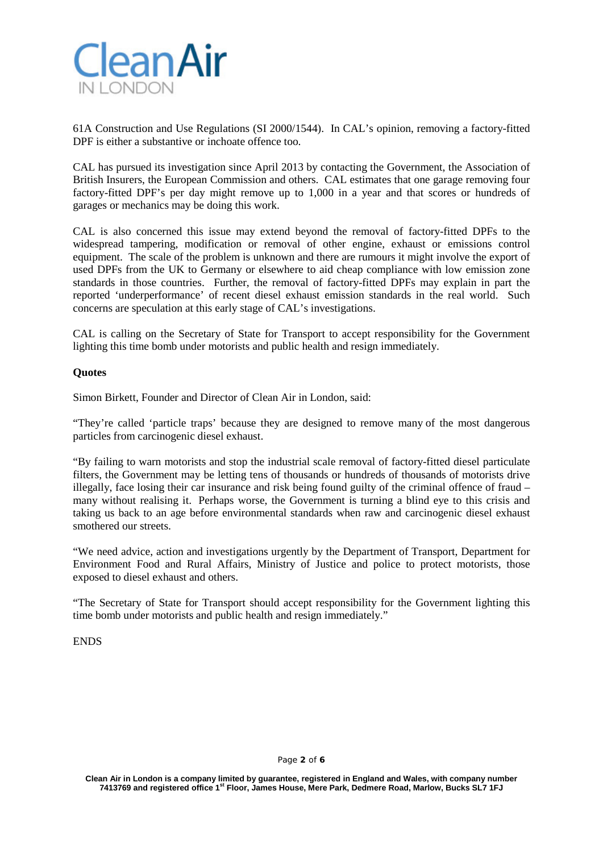

61A Construction and Use Regulations (SI 2000/1544). In CAL's opinion, removing a factory-fitted DPF is either a substantive or inchoate offence too.

CAL has pursued its investigation since April 2013 by contacting the Government, the Association of British Insurers, the European Commission and others. CAL estimates that one garage removing four factory-fitted DPF's per day might remove up to 1,000 in a year and that scores or hundreds of garages or mechanics may be doing this work.

CAL is also concerned this issue may extend beyond the removal of factory-fitted DPFs to the widespread tampering, modification or removal of other engine, exhaust or emissions control equipment. The scale of the problem is unknown and there are rumours it might involve the export of used DPFs from the UK to Germany or elsewhere to aid cheap compliance with low emission zone standards in those countries. Further, the removal of factory-fitted DPFs may explain in part the reported 'underperformance' of recent diesel exhaust emission standards in the real world. Such concerns are speculation at this early stage of CAL's investigations.

CAL is calling on the Secretary of State for Transport to accept responsibility for the Government lighting this time bomb under motorists and public health and resign immediately.

### **Quotes**

Simon Birkett, Founder and Director of Clean Air in London, said:

"They're called 'particle traps' because they are designed to remove many of the most dangerous particles from carcinogenic diesel exhaust.

"By failing to warn motorists and stop the industrial scale removal of factory-fitted diesel particulate filters, the Government may be letting tens of thousands or hundreds of thousands of motorists drive illegally, face losing their car insurance and risk being found guilty of the criminal offence of fraud – many without realising it. Perhaps worse, the Government is turning a blind eye to this crisis and taking us back to an age before environmental standards when raw and carcinogenic diesel exhaust smothered our streets.

"We need advice, action and investigations urgently by the Department of Transport, Department for Environment Food and Rural Affairs, Ministry of Justice and police to protect motorists, those exposed to diesel exhaust and others.

"The Secretary of State for Transport should accept responsibility for the Government lighting this time bomb under motorists and public health and resign immediately."

ENDS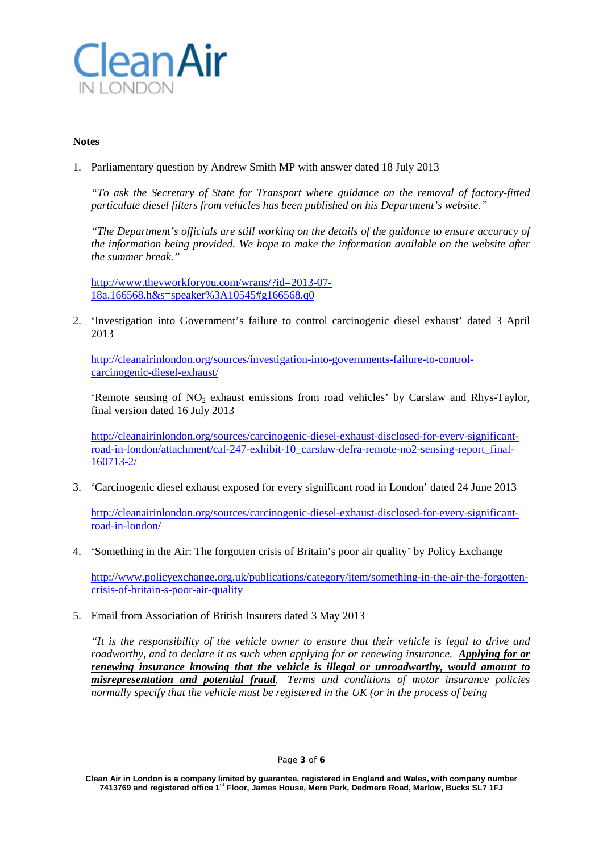

#### **Notes**

1. Parliamentary question by Andrew Smith MP with answer dated 18 July 2013

*"To ask the Secretary of State for Transport where guidance on the removal of factory-fitted particulate diesel filters from vehicles has been published on his Department's website."*

*"The Department's officials are still working on the details of the guidance to ensure accuracy of the information being provided. We hope to make the information available on the website after the summer break."*

[http://www.theyworkforyou.com/wrans/?id=2013-07-](http://www.theyworkforyou.com/wrans/?id=2013-07-18a.166568.h&s=speaker%3A10545#g166568.q0) [18a.166568.h&s=speaker%3A10545#g166568.q0](http://www.theyworkforyou.com/wrans/?id=2013-07-18a.166568.h&s=speaker%3A10545#g166568.q0)

2. 'Investigation into Government's failure to control carcinogenic diesel exhaust' dated 3 April 2013

[http://cleanairinlondon.org/sources/investigation-into-governments-failure-to-control](http://cleanairinlondon.org/sources/investigation-into-governments-failure-to-control-carcinogenic-diesel-exhaust/)[carcinogenic-diesel-exhaust/](http://cleanairinlondon.org/sources/investigation-into-governments-failure-to-control-carcinogenic-diesel-exhaust/)

'Remote sensing of NO<sub>2</sub> exhaust emissions from road vehicles' by Carslaw and Rhys-Taylor, final version dated 16 July 2013

[http://cleanairinlondon.org/sources/carcinogenic-diesel-exhaust-disclosed-for-every-significant](http://cleanairinlondon.org/sources/carcinogenic-diesel-exhaust-disclosed-for-every-significant-road-in-london/attachment/cal-247-exhibit-10_carslaw-defra-remote-no2-sensing-report_final-160713-2/)[road-in-london/attachment/cal-247-exhibit-10\\_carslaw-defra-remote-no2-sensing-report\\_final-](http://cleanairinlondon.org/sources/carcinogenic-diesel-exhaust-disclosed-for-every-significant-road-in-london/attachment/cal-247-exhibit-10_carslaw-defra-remote-no2-sensing-report_final-160713-2/)[160713-2/](http://cleanairinlondon.org/sources/carcinogenic-diesel-exhaust-disclosed-for-every-significant-road-in-london/attachment/cal-247-exhibit-10_carslaw-defra-remote-no2-sensing-report_final-160713-2/)

3. 'Carcinogenic diesel exhaust exposed for every significant road in London' dated 24 June 2013

[http://cleanairinlondon.org/sources/carcinogenic-diesel-exhaust-disclosed-for-every-significant](http://cleanairinlondon.org/sources/carcinogenic-diesel-exhaust-disclosed-for-every-significant-road-in-london/)[road-in-london/](http://cleanairinlondon.org/sources/carcinogenic-diesel-exhaust-disclosed-for-every-significant-road-in-london/)

4. 'Something in the Air: The forgotten crisis of Britain's poor air quality' by Policy Exchange

[http://www.policyexchange.org.uk/publications/category/item/something-in-the-air-the-forgotten](http://www.policyexchange.org.uk/publications/category/item/something-in-the-air-the-forgotten-crisis-of-britain-s-poor-air-quality)[crisis-of-britain-s-poor-air-quality](http://www.policyexchange.org.uk/publications/category/item/something-in-the-air-the-forgotten-crisis-of-britain-s-poor-air-quality)

5. Email from Association of British Insurers dated 3 May 2013

*"It is the responsibility of the vehicle owner to ensure that their vehicle is legal to drive and roadworthy, and to declare it as such when applying for or renewing insurance. Applying for or renewing insurance knowing that the vehicle is illegal or unroadworthy, would amount to misrepresentation and potential fraud. Terms and conditions of motor insurance policies normally specify that the vehicle must be registered in the UK (or in the process of being* 

#### Page **3** of **6**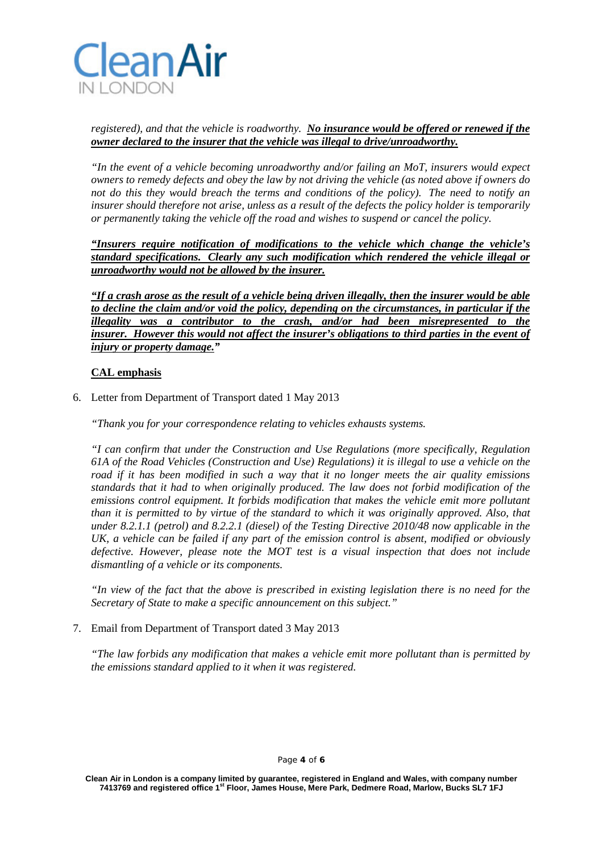

# *registered), and that the vehicle is roadworthy. No insurance would be offered or renewed if the owner declared to the insurer that the vehicle was illegal to drive/unroadworthy.*

*"In the event of a vehicle becoming unroadworthy and/or failing an MoT, insurers would expect owners to remedy defects and obey the law by not driving the vehicle (as noted above if owners do not do this they would breach the terms and conditions of the policy). The need to notify an insurer should therefore not arise, unless as a result of the defects the policy holder is temporarily or permanently taking the vehicle off the road and wishes to suspend or cancel the policy.* 

*"Insurers require notification of modifications to the vehicle which change the vehicle's standard specifications. Clearly any such modification which rendered the vehicle illegal or unroadworthy would not be allowed by the insurer.*

*"If a crash arose as the result of a vehicle being driven illegally, then the insurer would be able to decline the claim and/or void the policy, depending on the circumstances, in particular if the illegality was a contributor to the crash, and/or had been misrepresented to the insurer. However this would not affect the insurer's obligations to third parties in the event of injury or property damage."*

# **CAL emphasis**

6. Letter from Department of Transport dated 1 May 2013

*"Thank you for your correspondence relating to vehicles exhausts systems.*

*"I can confirm that under the Construction and Use Regulations (more specifically, Regulation 61A of the Road Vehicles (Construction and Use) Regulations) it is illegal to use a vehicle on the road if it has been modified in such a way that it no longer meets the air quality emissions standards that it had to when originally produced. The law does not forbid modification of the emissions control equipment. It forbids modification that makes the vehicle emit more pollutant than it is permitted to by virtue of the standard to which it was originally approved. Also, that under 8.2.1.1 (petrol) and 8.2.2.1 (diesel) of the Testing Directive 2010/48 now applicable in the UK, a vehicle can be failed if any part of the emission control is absent, modified or obviously defective. However, please note the MOT test is a visual inspection that does not include dismantling of a vehicle or its components.* 

*"In view of the fact that the above is prescribed in existing legislation there is no need for the Secretary of State to make a specific announcement on this subject."*

7. Email from Department of Transport dated 3 May 2013

*"The law forbids any modification that makes a vehicle emit more pollutant than is permitted by the emissions standard applied to it when it was registered.*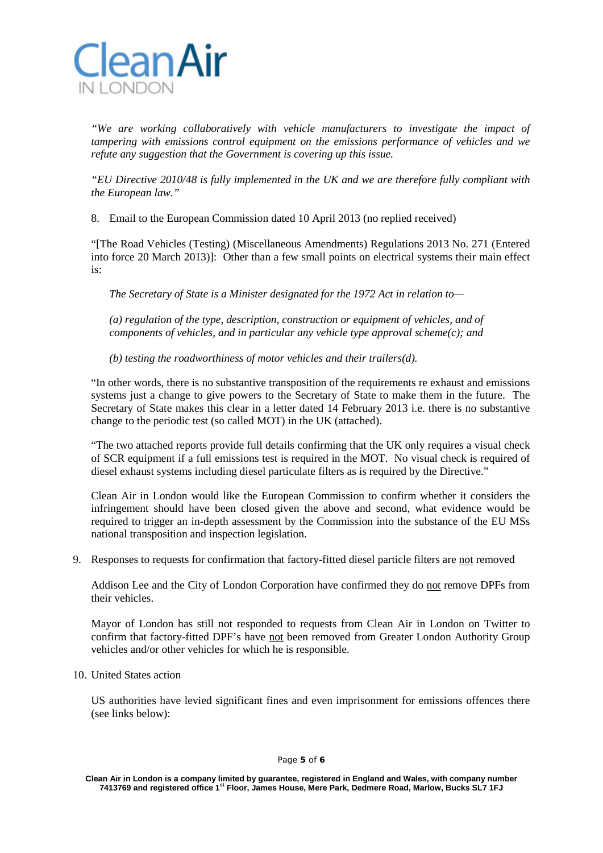

*"We are working collaboratively with vehicle manufacturers to investigate the impact of tampering with emissions control equipment on the emissions performance of vehicles and we refute any suggestion that the Government is covering up this issue.* 

*"EU Directive 2010/48 is fully implemented in the UK and we are therefore fully compliant with the European law."*

8. Email to the European Commission dated 10 April 2013 (no replied received)

"[The Road Vehicles (Testing) (Miscellaneous Amendments) Regulations 2013 No. 271 (Entered into force 20 March 2013)]: Other than a few small points on electrical systems their main effect is:

*The Secretary of State is a Minister designated for the 1972 Act in relation to—*

*(a) regulation of the type, description, construction or equipment of vehicles, and of components of vehicles, and in particular any vehicle type approval scheme(c); and*

*(b) testing the roadworthiness of motor vehicles and their trailers(d).*

"In other words, there is no substantive transposition of the requirements re exhaust and emissions systems just a change to give powers to the Secretary of State to make them in the future. The Secretary of State makes this clear in a letter dated 14 February 2013 i.e. there is no substantive change to the periodic test (so called MOT) in the UK (attached).

"The two attached reports provide full details confirming that the UK only requires a visual check of SCR equipment if a full emissions test is required in the MOT. No visual check is required of diesel exhaust systems including diesel particulate filters as is required by the Directive."

Clean Air in London would like the European Commission to confirm whether it considers the infringement should have been closed given the above and second, what evidence would be required to trigger an in-depth assessment by the Commission into the substance of the EU MSs national transposition and inspection legislation.

9. Responses to requests for confirmation that factory-fitted diesel particle filters are not removed

Addison Lee and the City of London Corporation have confirmed they do not remove DPFs from their vehicles.

Mayor of London has still not responded to requests from Clean Air in London on Twitter to confirm that factory-fitted DPF's have not been removed from Greater London Authority Group vehicles and/or other vehicles for which he is responsible.

10. United States action

US authorities have levied significant fines and even imprisonment for emissions offences there (see links below):

**Clean Air in London is a company limited by guarantee, registered in England and Wales, with company number 7413769 and registered office 1st Floor, James House, Mere Park, Dedmere Road, Marlow, Bucks SL7 1FJ**